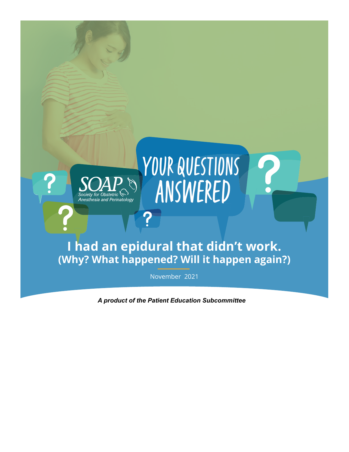

*A product of the Patient Education Subcommittee*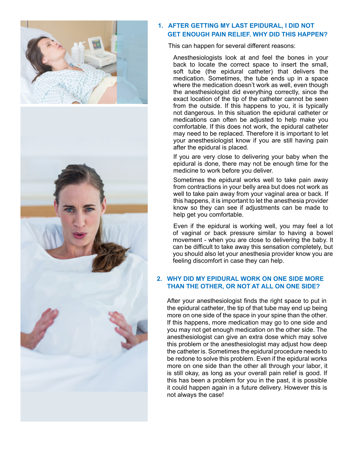

# **1. AFTER GETTING MY LAST EPIDURAL, I DID NOT GET ENOUGH PAIN RELIEF. WHY DID THIS HAPPEN?**

This can happen for several different reasons:

Anesthesiologists look at and feel the bones in your back to locate the correct space to insert the small, soft tube (the epidural catheter) that delivers the medication. Sometimes, the tube ends up in a space where the medication doesn't work as well, even though the anesthesiologist did everything correctly, since the exact location of the tip of the catheter cannot be seen from the outside. If this happens to you, it is typically not dangerous. In this situation the epidural catheter or medications can often be adjusted to help make you comfortable. If this does not work, the epidural catheter may need to be replaced. Therefore it is important to let your anesthesiologist know if you are still having pain after the epidural is placed.

If you are very close to delivering your baby when the epidural is done, there may not be enough time for the medicine to work before you deliver.

Sometimes the epidural works well to take pain away from contractions in your belly area but does not work as well to take pain away from your vaginal area or back. If this happens, it is important to let the anesthesia provider know so they can see if adjustments can be made to help get you comfortable.

Even if the epidural is working well, you may feel a lot of vaginal or back pressure similar to having a bowel movement - when you are close to delivering the baby. It can be difficult to take away this sensation completely, but you should also let your anesthesia provider know you are feeling discomfort in case they can help.

## **2. WHY DID MY EPIDURAL WORK ON ONE SIDE MORE THAN THE OTHER, OR NOT AT ALL ON ONE SIDE?**

After your anesthesiologist finds the right space to put in the epidural catheter, the tip of that tube may end up being more on one side of the space in your spine than the other. If this happens, more medication may go to one side and you may not get enough medication on the other side. The anesthesiologist can give an extra dose which may solve this problem or the anesthesiologist may adjust how deep the catheter is. Sometimes the epidural procedure needs to be redone to solve this problem. Even if the epidural works more on one side than the other all through your labor, it is still okay, as long as your overall pain relief is good. If this has been a problem for you in the past, it is possible it could happen again in a future delivery. However this is not always the case!